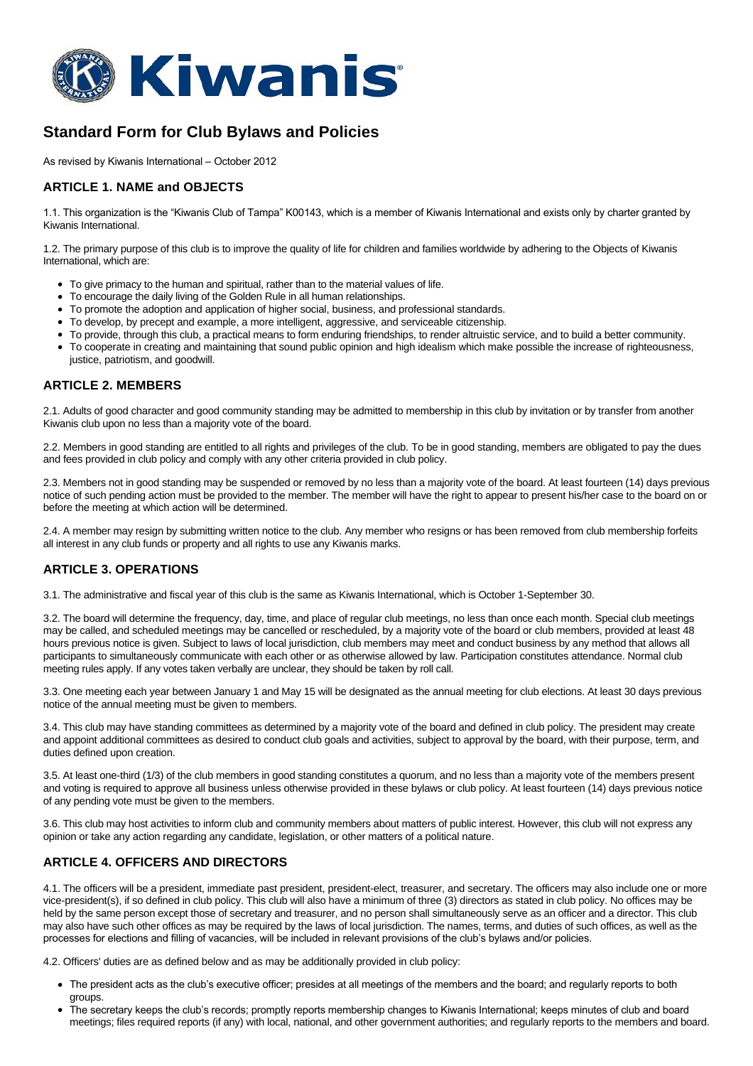

# **Standard Form for Club Bylaws and Policies**

As revised by Kiwanis International – October 2012

### **ARTICLE 1. NAME and OBJECTS**

1.1. This organization is the "Kiwanis Club of Tampa" K00143, which is a member of Kiwanis International and exists only by charter granted by Kiwanis International.

1.2. The primary purpose of this club is to improve the quality of life for children and families worldwide by adhering to the Objects of Kiwanis International, which are:

- To give primacy to the human and spiritual, rather than to the material values of life.
- $\bullet$ To encourage the daily living of the Golden Rule in all human relationships.
- To promote the adoption and application of higher social, business, and professional standards.
- To develop, by precept and example, a more intelligent, aggressive, and serviceable citizenship.
- To provide, through this club, a practical means to form enduring friendships, to render altruistic service, and to build a better community.
- To cooperate in creating and maintaining that sound public opinion and high idealism which make possible the increase of righteousness, justice, patriotism, and goodwill.

#### **ARTICLE 2. MEMBERS**

2.1. Adults of good character and good community standing may be admitted to membership in this club by invitation or by transfer from another Kiwanis club upon no less than a majority vote of the board.

2.2. Members in good standing are entitled to all rights and privileges of the club. To be in good standing, members are obligated to pay the dues and fees provided in club policy and comply with any other criteria provided in club policy.

2.3. Members not in good standing may be suspended or removed by no less than a majority vote of the board. At least fourteen (14) days previous notice of such pending action must be provided to the member. The member will have the right to appear to present his/her case to the board on or before the meeting at which action will be determined.

2.4. A member may resign by submitting written notice to the club. Any member who resigns or has been removed from club membership forfeits all interest in any club funds or property and all rights to use any Kiwanis marks.

# **ARTICLE 3. OPERATIONS**

3.1. The administrative and fiscal year of this club is the same as Kiwanis International, which is October 1-September 30.

3.2. The board will determine the frequency, day, time, and place of regular club meetings, no less than once each month. Special club meetings may be called, and scheduled meetings may be cancelled or rescheduled, by a majority vote of the board or club members, provided at least 48 hours previous notice is given. Subject to laws of local jurisdiction, club members may meet and conduct business by any method that allows all participants to simultaneously communicate with each other or as otherwise allowed by law. Participation constitutes attendance. Normal club meeting rules apply. If any votes taken verbally are unclear, they should be taken by roll call.

3.3. One meeting each year between January 1 and May 15 will be designated as the annual meeting for club elections. At least 30 days previous notice of the annual meeting must be given to members.

3.4. This club may have standing committees as determined by a majority vote of the board and defined in club policy. The president may create and appoint additional committees as desired to conduct club goals and activities, subject to approval by the board, with their purpose, term, and duties defined upon creation.

3.5. At least one-third (1/3) of the club members in good standing constitutes a quorum, and no less than a majority vote of the members present and voting is required to approve all business unless otherwise provided in these bylaws or club policy. At least fourteen (14) days previous notice of any pending vote must be given to the members.

3.6. This club may host activities to inform club and community members about matters of public interest. However, this club will not express any opinion or take any action regarding any candidate, legislation, or other matters of a political nature.

# **ARTICLE 4. OFFICERS AND DIRECTORS**

4.1. The officers will be a president, immediate past president, president-elect, treasurer, and secretary. The officers may also include one or more vice-president(s), if so defined in club policy. This club will also have a minimum of three (3) directors as stated in club policy. No offices may be held by the same person except those of secretary and treasurer, and no person shall simultaneously serve as an officer and a director. This club may also have such other offices as may be required by the laws of local jurisdiction. The names, terms, and duties of such offices, as well as the processes for elections and filling of vacancies, will be included in relevant provisions of the club's bylaws and/or policies.

4.2. Officers' duties are as defined below and as may be additionally provided in club policy:

- The president acts as the club's executive officer; presides at all meetings of the members and the board; and regularly reports to both groups.
- The secretary keeps the club's records; promptly reports membership changes to Kiwanis International; keeps minutes of club and board meetings; files required reports (if any) with local, national, and other government authorities; and regularly reports to the members and board.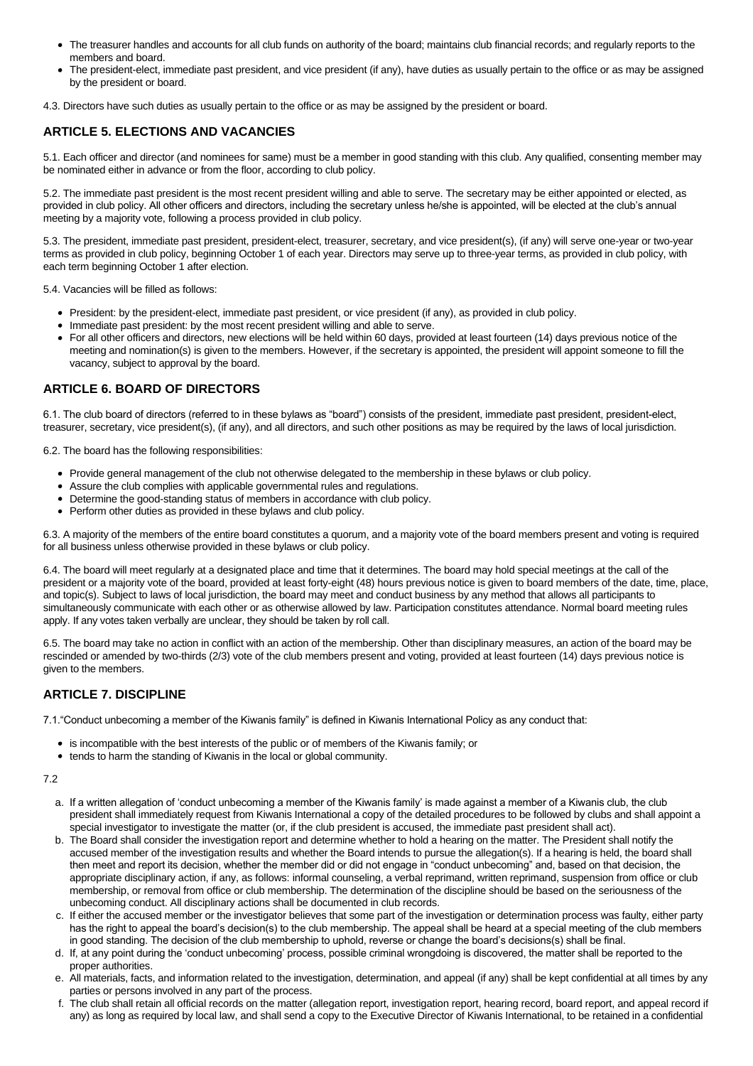- The treasurer handles and accounts for all club funds on authority of the board; maintains club financial records; and regularly reports to the members and board.
- The president-elect, immediate past president, and vice president (if any), have duties as usually pertain to the office or as may be assigned by the president or board.
- 4.3. Directors have such duties as usually pertain to the office or as may be assigned by the president or board.

# **ARTICLE 5. ELECTIONS AND VACANCIES**

5.1. Each officer and director (and nominees for same) must be a member in good standing with this club. Any qualified, consenting member may be nominated either in advance or from the floor, according to club policy.

5.2. The immediate past president is the most recent president willing and able to serve. The secretary may be either appointed or elected, as provided in club policy. All other officers and directors, including the secretary unless he/she is appointed, will be elected at the club's annual meeting by a majority vote, following a process provided in club policy.

5.3. The president, immediate past president, president-elect, treasurer, secretary, and vice president(s), (if any) will serve one-year or two-year terms as provided in club policy, beginning October 1 of each year. Directors may serve up to three-year terms, as provided in club policy, with each term beginning October 1 after election.

5.4. Vacancies will be filled as follows:

- President: by the president-elect, immediate past president, or vice president (if any), as provided in club policy.
- Immediate past president: by the most recent president willing and able to serve.
- For all other officers and directors, new elections will be held within 60 days, provided at least fourteen (14) days previous notice of the meeting and nomination(s) is given to the members. However, if the secretary is appointed, the president will appoint someone to fill the vacancy, subject to approval by the board.

### **ARTICLE 6. BOARD OF DIRECTORS**

6.1. The club board of directors (referred to in these bylaws as "board") consists of the president, immediate past president, president-elect, treasurer, secretary, vice president(s), (if any), and all directors, and such other positions as may be required by the laws of local jurisdiction.

6.2. The board has the following responsibilities:

- Provide general management of the club not otherwise delegated to the membership in these bylaws or club policy.
- Assure the club complies with applicable governmental rules and regulations.
- Determine the good-standing status of members in accordance with club policy.
- Perform other duties as provided in these bylaws and club policy.

6.3. A majority of the members of the entire board constitutes a quorum, and a majority vote of the board members present and voting is required for all business unless otherwise provided in these bylaws or club policy.

6.4. The board will meet regularly at a designated place and time that it determines. The board may hold special meetings at the call of the president or a majority vote of the board, provided at least forty-eight (48) hours previous notice is given to board members of the date, time, place, and topic(s). Subject to laws of local jurisdiction, the board may meet and conduct business by any method that allows all participants to simultaneously communicate with each other or as otherwise allowed by law. Participation constitutes attendance. Normal board meeting rules apply. If any votes taken verbally are unclear, they should be taken by roll call.

6.5. The board may take no action in conflict with an action of the membership. Other than disciplinary measures, an action of the board may be rescinded or amended by two-thirds (2/3) vote of the club members present and voting, provided at least fourteen (14) days previous notice is given to the members.

# **ARTICLE 7. DISCIPLINE**

7.1."Conduct unbecoming a member of the Kiwanis family" is defined in Kiwanis International Policy as any conduct that:

- $\bullet$  is incompatible with the best interests of the public or of members of the Kiwanis family; or
- tends to harm the standing of Kiwanis in the local or global community.

#### 7.2

- a. If a written allegation of 'conduct unbecoming a member of the Kiwanis family' is made against a member of a Kiwanis club, the club president shall immediately request from Kiwanis International a copy of the detailed procedures to be followed by clubs and shall appoint a special investigator to investigate the matter (or, if the club president is accused, the immediate past president shall act).
- b. The Board shall consider the investigation report and determine whether to hold a hearing on the matter. The President shall notify the accused member of the investigation results and whether the Board intends to pursue the allegation(s). If a hearing is held, the board shall then meet and report its decision, whether the member did or did not engage in "conduct unbecoming" and, based on that decision, the appropriate disciplinary action, if any, as follows: informal counseling, a verbal reprimand, written reprimand, suspension from office or club membership, or removal from office or club membership. The determination of the discipline should be based on the seriousness of the unbecoming conduct. All disciplinary actions shall be documented in club records.
- c. If either the accused member or the investigator believes that some part of the investigation or determination process was faulty, either party has the right to appeal the board's decision(s) to the club membership. The appeal shall be heard at a special meeting of the club members in good standing. The decision of the club membership to uphold, reverse or change the board's decisions(s) shall be final.
- d. If, at any point during the 'conduct unbecoming' process, possible criminal wrongdoing is discovered, the matter shall be reported to the proper authorities.
- e. All materials, facts, and information related to the investigation, determination, and appeal (if any) shall be kept confidential at all times by any parties or persons involved in any part of the process.
- f. The club shall retain all official records on the matter (allegation report, investigation report, hearing record, board report, and appeal record if any) as long as required by local law, and shall send a copy to the Executive Director of Kiwanis International, to be retained in a confidential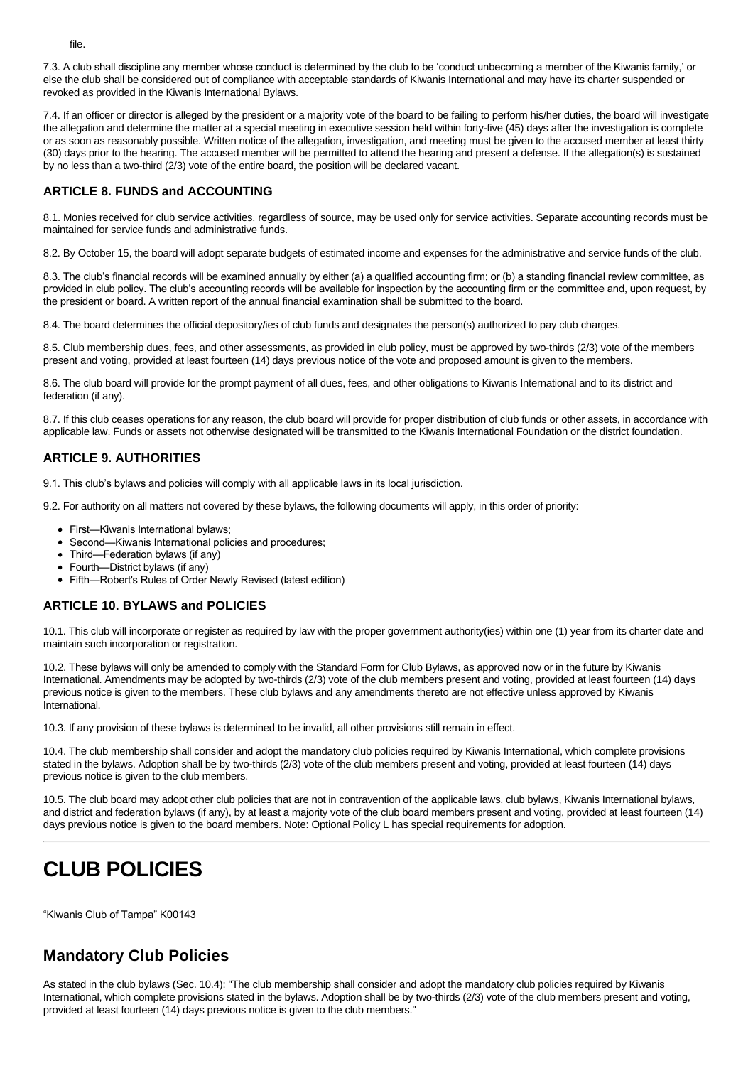7.3. A club shall discipline any member whose conduct is determined by the club to be 'conduct unbecoming a member of the Kiwanis family,' or else the club shall be considered out of compliance with acceptable standards of Kiwanis International and may have its charter suspended or revoked as provided in the Kiwanis International Bylaws.

7.4. If an officer or director is alleged by the president or a majority vote of the board to be failing to perform his/her duties, the board will investigate the allegation and determine the matter at a special meeting in executive session held within forty-five (45) days after the investigation is complete or as soon as reasonably possible. Written notice of the allegation, investigation, and meeting must be given to the accused member at least thirty (30) days prior to the hearing. The accused member will be permitted to attend the hearing and present a defense. If the allegation(s) is sustained by no less than a two-third (2/3) vote of the entire board, the position will be declared vacant.

# **ARTICLE 8. FUNDS and ACCOUNTING**

8.1. Monies received for club service activities, regardless of source, may be used only for service activities. Separate accounting records must be maintained for service funds and administrative funds.

8.2. By October 15, the board will adopt separate budgets of estimated income and expenses for the administrative and service funds of the club.

8.3. The club's financial records will be examined annually by either (a) a qualified accounting firm; or (b) a standing financial review committee, as provided in club policy. The club's accounting records will be available for inspection by the accounting firm or the committee and, upon request, by the president or board. A written report of the annual financial examination shall be submitted to the board.

8.4. The board determines the official depository/ies of club funds and designates the person(s) authorized to pay club charges.

8.5. Club membership dues, fees, and other assessments, as provided in club policy, must be approved by two-thirds (2/3) vote of the members present and voting, provided at least fourteen (14) days previous notice of the vote and proposed amount is given to the members.

8.6. The club board will provide for the prompt payment of all dues, fees, and other obligations to Kiwanis International and to its district and federation (if any).

8.7. If this club ceases operations for any reason, the club board will provide for proper distribution of club funds or other assets, in accordance with applicable law. Funds or assets not otherwise designated will be transmitted to the Kiwanis International Foundation or the district foundation.

# **ARTICLE 9. AUTHORITIES**

9.1. This club's bylaws and policies will comply with all applicable laws in its local jurisdiction.

9.2. For authority on all matters not covered by these bylaws, the following documents will apply, in this order of priority:

- First-Kiwanis International bylaws;
- Second—Kiwanis International policies and procedures;
- Third—Federation bylaws (if any)
- Fourth--District bylaws (if any)
- Fifth—Robert's Rules of Order Newly Revised (latest edition)

# **ARTICLE 10. BYLAWS and POLICIES**

10.1. This club will incorporate or register as required by law with the proper government authority(ies) within one (1) year from its charter date and maintain such incorporation or registration.

10.2. These bylaws will only be amended to comply with the Standard Form for Club Bylaws, as approved now or in the future by Kiwanis International. Amendments may be adopted by two-thirds (2/3) vote of the club members present and voting, provided at least fourteen (14) days previous notice is given to the members. These club bylaws and any amendments thereto are not effective unless approved by Kiwanis International.

10.3. If any provision of these bylaws is determined to be invalid, all other provisions still remain in effect.

10.4. The club membership shall consider and adopt the mandatory club policies required by Kiwanis International, which complete provisions stated in the bylaws. Adoption shall be by two-thirds (2/3) vote of the club members present and voting, provided at least fourteen (14) days previous notice is given to the club members.

10.5. The club board may adopt other club policies that are not in contravention of the applicable laws, club bylaws, Kiwanis International bylaws, and district and federation bylaws (if any), by at least a majority vote of the club board members present and voting, provided at least fourteen (14) days previous notice is given to the board members. Note: Optional Policy L has special requirements for adoption.

# **CLUB POLICIES**

"Kiwanis Club of Tampa" K00143

# **Mandatory Club Policies**

As stated in the club bylaws (Sec. 10.4): "The club membership shall consider and adopt the mandatory club policies required by Kiwanis International, which complete provisions stated in the bylaws. Adoption shall be by two-thirds (2/3) vote of the club members present and voting, provided at least fourteen (14) days previous notice is given to the club members."

file.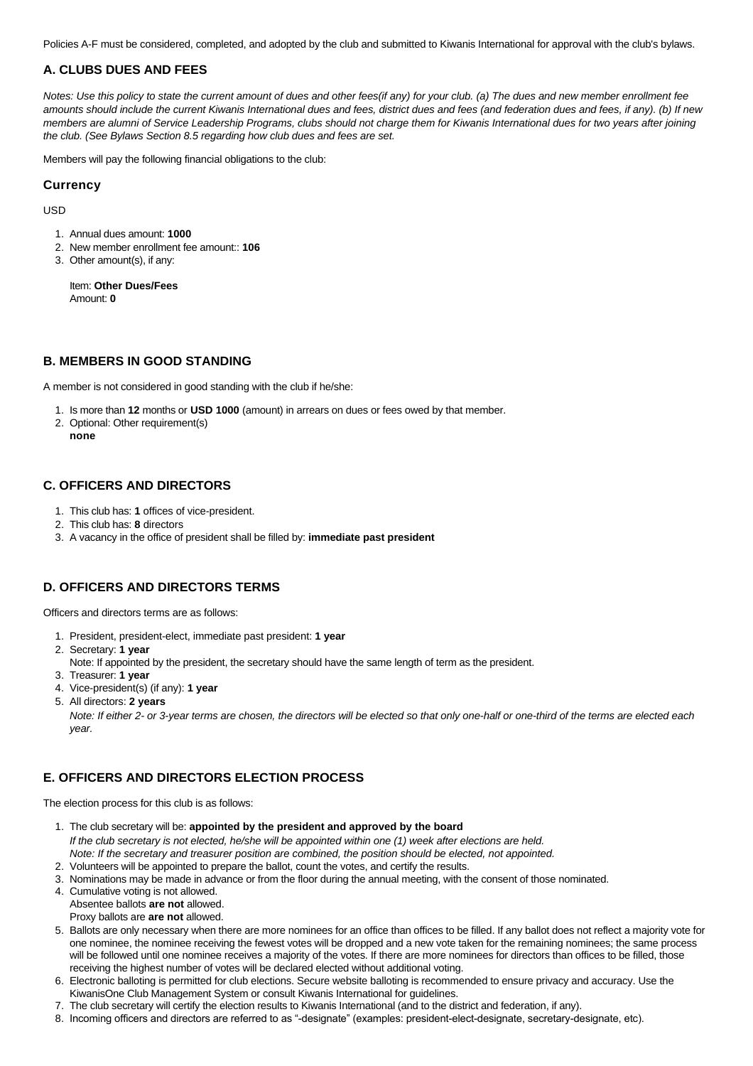Policies A-F must be considered, completed, and adopted by the club and submitted to Kiwanis International for approval with the club's bylaws.

# **A. CLUBS DUES AND FEES**

*Notes: Use this policy to state the current amount of dues and other fees(if any) for your club. (a) The dues and new member enrollment fee amounts should include the current Kiwanis International dues and fees, district dues and fees (and federation dues and fees, if any). (b) If new members are alumni of Service Leadership Programs, clubs should not charge them for Kiwanis International dues for two years after joining the club. (See Bylaws Section 8.5 regarding how club dues and fees are set.*

Members will pay the following financial obligations to the club:

#### **Currency**

USD

- 1. Annual dues amount: **1000**
- 2. New member enrollment fee amount:: **106**
- 3. Other amount(s), if any:

Item: **Other Dues/Fees** Amount: **0**

#### **B. MEMBERS IN GOOD STANDING**

A member is not considered in good standing with the club if he/she:

- 1. Is more than **12** months or **USD 1000** (amount) in arrears on dues or fees owed by that member.
- 2. Optional: Other requirement(s) **none**

### **C. OFFICERS AND DIRECTORS**

- 1. This club has: **1** offices of vice-president.
- 2. This club has: **8** directors
- 3. A vacancy in the office of president shall be filled by: **immediate past president**

#### **D. OFFICERS AND DIRECTORS TERMS**

Officers and directors terms are as follows:

- 1. President, president-elect, immediate past president: **1 year**
- 2. Secretary: **1 year**
	- Note: If appointed by the president, the secretary should have the same length of term as the president.
- 3. Treasurer: **1 year**
- 4. Vice-president(s) (if any): **1 year**
- 5. All directors: **2 years**

*Note: If either 2- or 3-year terms are chosen, the directors will be elected so that only one-half or one-third of the terms are elected each year.*

# **E. OFFICERS AND DIRECTORS ELECTION PROCESS**

The election process for this club is as follows:

- 1. The club secretary will be: **appointed by the president and approved by the board**
- *If the club secretary is not elected, he/she will be appointed within one (1) week after elections are held.*
- *Note: If the secretary and treasurer position are combined, the position should be elected, not appointed.*
- 2. Volunteers will be appointed to prepare the ballot, count the votes, and certify the results.
- 3. Nominations may be made in advance or from the floor during the annual meeting, with the consent of those nominated.
- 4. Cumulative voting is not allowed.
	- Absentee ballots **are not** allowed. Proxy ballots are **are not** allowed.
	-
- 5. Ballots are only necessary when there are more nominees for an office than offices to be filled. If any ballot does not reflect a majority vote for one nominee, the nominee receiving the fewest votes will be dropped and a new vote taken for the remaining nominees; the same process will be followed until one nominee receives a majority of the votes. If there are more nominees for directors than offices to be filled, those receiving the highest number of votes will be declared elected without additional voting.
- 6. Electronic balloting is permitted for club elections. Secure website balloting is recommended to ensure privacy and accuracy. Use the KiwanisOne Club Management System or consult Kiwanis International for guidelines.
- 7. The club secretary will certify the election results to Kiwanis International (and to the district and federation, if any).
- 8. Incoming officers and directors are referred to as "-designate" (examples: president-elect-designate, secretary-designate, etc).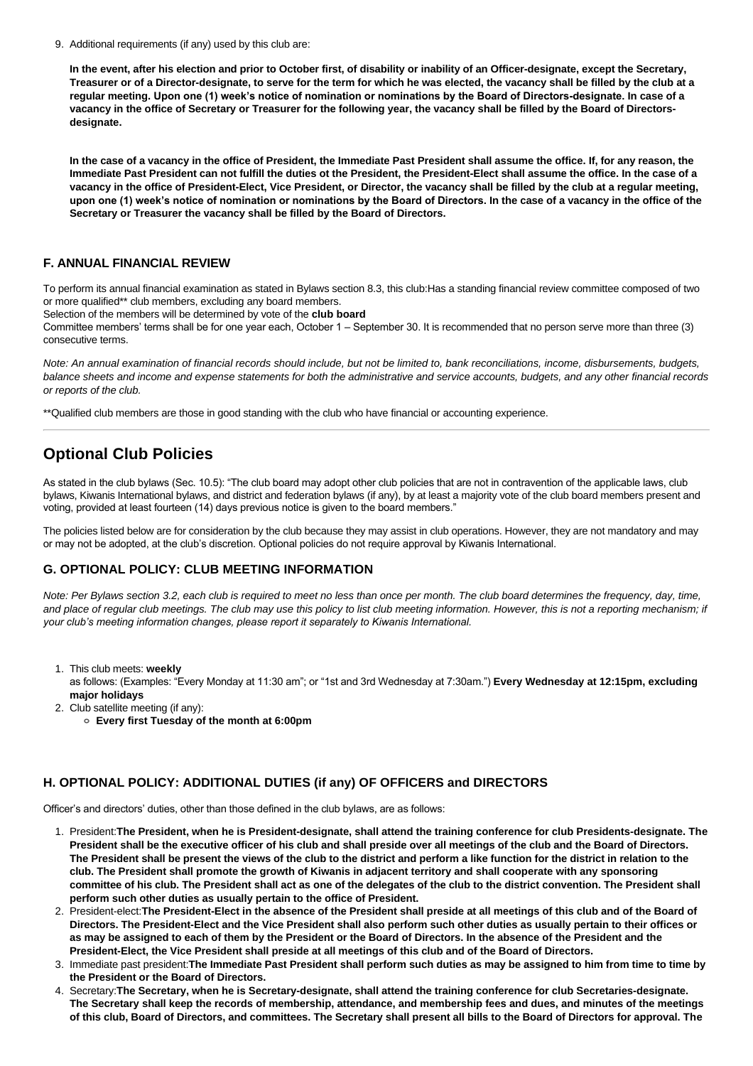9. Additional requirements (if any) used by this club are:

**In the event, after his election and prior to October first, of disability or inability of an Officer-designate, except the Secretary, Treasurer or of a Director-designate, to serve for the term for which he was elected, the vacancy shall be filled by the club at a regular meeting. Upon one (1) week's notice of nomination or nominations by the Board of Directorsdesignate. In case of a vacancy in the office of Secretary or Treasurer for the following year, the vacancy shall be filled by the Board of Directorsdesignate.**

**In the case of a vacancy in the office of President, the Immediate Past President shall assume the office. If, for any reason, the Immediate Past President can not fulfill the duties ot the President, the President-Elect shall assume the office. In the case of a vacancy in the office of President-Elect, Vice President, or Director, the vacancy shall be filled by the club at a regular meeting, upon one (1) week's notice of nomination or nominations by the Board of Directors. In the case of a vacancy in the office of the Secretary or Treasurer the vacancy shall be filled by the Board of Directors.**

#### **F. ANNUAL FINANCIAL REVIEW**

To perform its annual financial examination as stated in Bylaws section 8.3, this club:Has a standing financial review committee composed of two or more qualified\*\* club members, excluding any board members.

Selection of the members will be determined by vote of the **club board**

Committee members' terms shall be for one year each, October 1 – September 30. It is recommended that no person serve more than three (3) consecutive terms.

*Note: An annual examination of financial records should include, but not be limited to, bank reconciliations, income, disbursements, budgets, balance sheets and income and expense statements for both the administrative and service accounts, budgets, and any other financial records or reports of the club.*

\*\*Qualified club members are those in good standing with the club who have financial or accounting experience.

# **Optional Club Policies**

As stated in the club bylaws (Sec. 10.5): "The club board may adopt other club policies that are not in contravention of the applicable laws, club bylaws, Kiwanis International bylaws, and district and federation bylaws (if any), by at least a majority vote of the club board members present and voting, provided at least fourteen (14) days previous notice is given to the board members."

The policies listed below are for consideration by the club because they may assist in club operations. However, they are not mandatory and may or may not be adopted, at the club's discretion. Optional policies do not require approval by Kiwanis International.

#### **G. OPTIONAL POLICY: CLUB MEETING INFORMATION**

*Note: Per Bylaws section 3.2, each club is required to meet no less than once per month. The club board determines the frequency, day, time, and place of regular club meetings. The club may use this policy to list club meeting information. However, this is not a reporting mechanism; if your club's meeting information changes, please report it separately to Kiwanis International.*

- 1. This club meets: **weekly**
- as follows: (Examples: "Every Monday at 11:30 am"; or "1st and 3rd Wednesday at 7:30am.") **Every Wednesday at 12:15pm, excluding major holidays**
- 2. Club satellite meeting (if any):
	- **Every first Tuesday of the month at 6:00pm**

# **H. OPTIONAL POLICY: ADDITIONAL DUTIES (if any) OF OFFICERS and DIRECTORS**

Officer's and directors' duties, other than those defined in the club bylaws, are as follows:

- 1. President:**The President, when he is President-designate, shall attend the training conference for club Presidents-designate. The President shall be the executive officer of his club and shall preside over all meetings of the club and the Board of Directors. The President shall be present the views of the club to the district and perform a like function for the district in relation to the club. The President shall promote the growth of Kiwanis in adjacent territory and shall cooperate with any sponsoring committee of his club. The President shall act as one of the delegates of the club to the district convention. The President shall perform such other duties as usually pertain to the office of President.**
- 2. President-elect:**The President-Elect in the absence of the President shall preside at all meetings of this club and of the Board of Directors. The President-Elect and the Vice President shall also perform such other duties as usually pertain to their offices or as may be assigned to each of them by the President or the Board of Directors. In the absence of the President and the President-Elect, the Vice President shall preside at all meetings of this club and of the Board of Directors.**
- 3. Immediate past president:**The Immediate Past President shall perform such duties as may be assigned to him from time to time by the President or the Board of Directors.**
- 4. Secretary:**The Secretary, when he is Secretary-designate, shall attend the training conference for club Secretaries-designate. The Secretary shall keep the records of membership, attendance, and membership fees and dues, and minutes of the meetings of this club, Board of Directors, and committees. The Secretary shall present all bills to the Board of Directors for approval. The**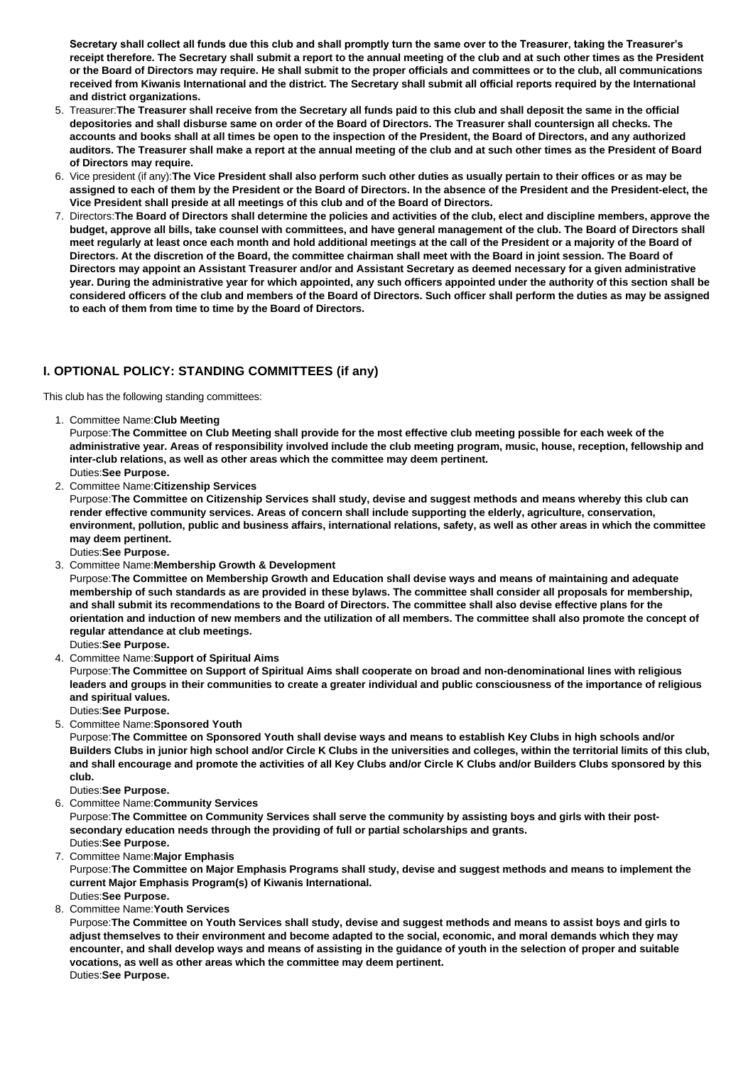**Secretary shall collect all funds due this club and shall promptly turn the same over to the Treasurer, taking the Treasurer's receipt therefore. The Secretary shall submit a report to the annual meeting of the club and at such other times as the President or the Board of Directors may require. He shall submit to the proper officials and committees or to the club, all communications received from Kiwanis International and the district. The Secretary shall submit all official reports required by the International and district organizations.**

- 5. Treasurer:**The Treasurer shall receive from the Secretary all funds paid to this club and shall deposit the same in the official depositories and shall disburse same on order of the Board of Directors. The Treasurer shall countersign all checks. The accounts and books shall at all times be open to the inspection of the President, the Board of Directors, and any authorized auditors. The Treasurer shall make a report at the annual meeting of the club and at such other times as the President of Board of Directors may require.**
- 6. Vice president (if any):**The Vice President shall also perform such other duties as usually pertain to their offices or as may be assigned to each of them by the President or the Board of Directors. In the absence of the President and the President-elect, the Vice President shall preside at all meetings of this club and of the Board of Directors.**
- 7. Directors:**The Board of Directors shall determine the policies and activities of the club, elect and discipline members, approve the budget, approve all bills, take counsel with committees, and have general management of the club. The Board of Directors shall meet regularly at least once each month and hold additional meetings at the call of the President or a majority of the Board of Directors. At the discretion of the Board, the committee chairman shall meet with the Board in joint session. The Board of Directors may appoint an Assistant Treasurer and/or and Assistant Secretary as deemed necessary for a given administrative year. During the administrative year for which appointed, any such officers appointed under the authority of this section shall be considered officers of the club and members of the Board of Directors. Such officer shall perform the duties as may be assigned to each of them from time to time by the Board of Directors.**

# **I. OPTIONAL POLICY: STANDING COMMITTEES (if any)**

This club has the following standing committees:

1. Committee Name:**Club Meeting**

Purpose:**The Committee on Club Meeting shall provide for the most effective club meeting possible for each week of the administrative year. Areas of responsibility involved include the club meeting program, music, house, reception, fellowship and inter-club relations, as well as other areas which the committee may deem pertinent.** Duties:**See Purpose.**

2. Committee Name:**Citizenship Services**

Purpose:**The Committee on Citizenship Services shall study, devise and suggest methods and means whereby this club can render effective community services. Areas of concern shall include supporting the elderly, agriculture, conservation, environment, pollution, public and business affairs, international relations, safety, as well as other areas in which the committee may deem pertinent.**

- Duties:**See Purpose.**
- 3. Committee Name:**Membership Growth & Development**

Purpose:**The Committee on Membership Growth and Education shall devise ways and means of maintaining and adequate membership of such standards as are provided in these bylaws. The committee shall consider all proposals for membership, and shall submit its recommendations to the Board of Directors. The committee shall also devise effective plans for the orientation and induction of new members and the utilization of all members. The committee shall also promote the concept of regular attendance at club meetings.**

- Duties:**See Purpose.**
- 4. Committee Name:**Support of Spiritual Aims**

Purpose:**The Committee on Support of Spiritual Aims shall cooperate on broad and non-denominational lines with religious leaders and groups in their communities to create a greater individual and public consciousness of the importance of religious and spiritual values.**

Duties:**See Purpose.**

5. Committee Name:**Sponsored Youth**

Purpose:**The Committee on Sponsored Youth shall devise ways and means to establish Key Clubs in high schools and/or Builders Clubs in junior high school and/or Circle K Clubs in the universities and colleges, within the territorial limits of this club, and shall encourage and promote the activities of all Key Clubs and/or Circle K Clubs and/or Builders Clubs sponsored by this club.**

Duties:**See Purpose.**

6. Committee Name:**Community Services**

Purpose:**The Committee on Community Services shall serve the community by assisting boys and girls with their postsecondary education needs through the providing of full or partial scholarships and grants.** Duties:**See Purpose.**

7. Committee Name:**Major Emphasis**

Purpose:**The Committee on Major Emphasis Programs shall study, devise and suggest methods and means to implement the current Major Emphasis Program(s) of Kiwanis International.** Duties:**See Purpose.**

8. Committee Name:**Youth Services**

Purpose:**The Committee on Youth Services shall study, devise and suggest methods and means to assist boys and girls to adjust themselves to their environment and become adapted to the social, economic, and moral demands which they may encounter, and shall develop ways and means of assisting in the guidance of youth in the selection of proper and suitable vocations, as well as other areas which the committee may deem pertinent.** Duties:**See Purpose.**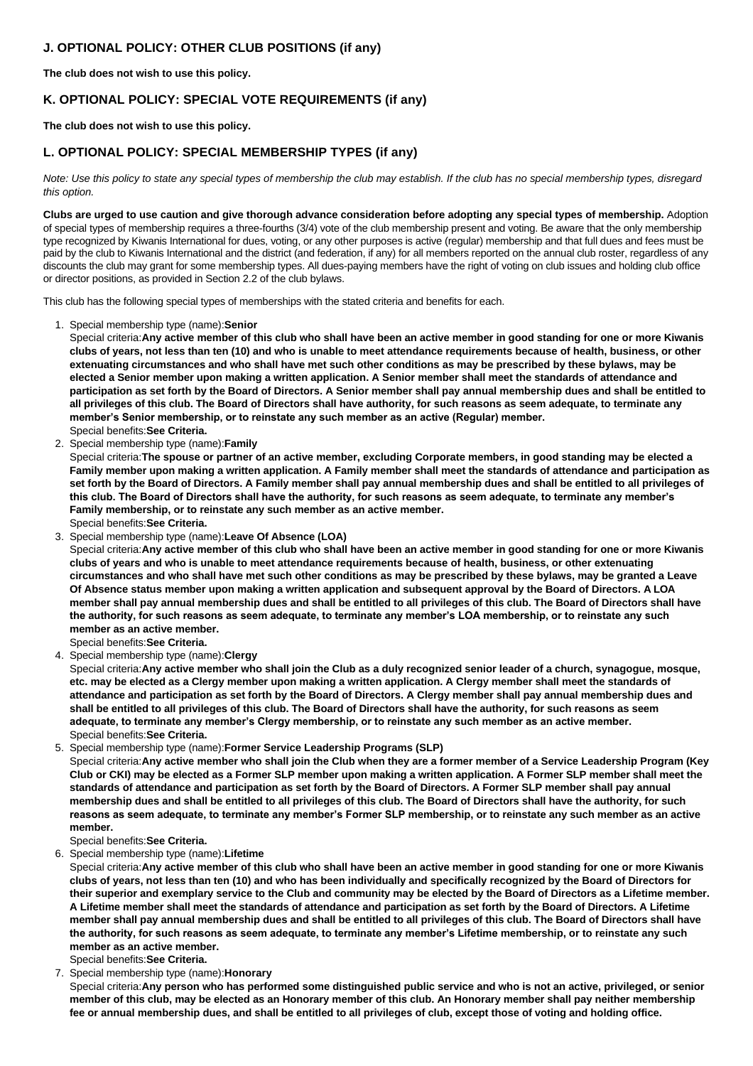# **J. OPTIONAL POLICY: OTHER CLUB POSITIONS (if any)**

**The club does not wish to use this policy.**

# **K. OPTIONAL POLICY: SPECIAL VOTE REQUIREMENTS (if any)**

**The club does not wish to use this policy.**

# **L. OPTIONAL POLICY: SPECIAL MEMBERSHIP TYPES (if any)**

*Note: Use this policy to state any special types of membership the club may establish. If the club has no special membership types, disregard this option.*

**Clubs are urged to use caution and give thorough advance consideration before adopting any special types of membership.** Adoption of special types of membership requires a three-fourths (3/4) vote of the club membership present and voting. Be aware that the only membership type recognized by Kiwanis International for dues, voting, or any other purposes is active (regular) membership and that full dues and fees must be paid by the club to Kiwanis International and the district (and federation, if any) for all members reported on the annual club roster, regardless of any discounts the club may grant for some membership types. All dues-paying members have the right of voting on club issues and holding club office or director positions, as provided in Section 2.2 of the club bylaws.

This club has the following special types of memberships with the stated criteria and benefits for each.

1. Special membership type (name):**Senior**

Special criteria:**Any active member of this club who shall have been an active member in good standing for one or more Kiwanis clubs of years, not less than ten (10) and who is unable to meet attendance requirements because of health, business, or other extenuating circumstances and who shall have met such other conditions as may be prescribed by these bylaws, may be elected a Senior member upon making a written application. A Senior member shall meet the standards of attendance and participation as set forth by the Board of Directors. A Senior member shall pay annual membership dues and shall be entitled to all privileges of this club. The Board of Directors shall have authority, for such reasons as seem adequate, to terminate any member's Senior membership, or to reinstate any such member as an active (Regular) member.** Special benefits:**See Criteria.**

2. Special membership type (name):**Family**

Special criteria:**The spouse or partner of an active member, excluding Corporate members, in good standing may be elected a Family member upon making a written application. A Family member shall meet the standards of attendance and participation as set forth by the Board of Directors. A Family member shall pay annual membership dues and shall be entitled to all privileges of this club. The Board of Directors shall have the authority, for such reasons as seem adequate, to terminate any member's Family membership, or to reinstate any such member as an active member.** Special benefits:**See Criteria.**

3. Special membership type (name):**Leave Of Absence (LOA)**

Special criteria:**Any active member of this club who shall have been an active member in good standing for one or more Kiwanis clubs of years and who is unable to meet attendance requirements because of health, business, or other extenuating circumstances and who shall have met such other conditions as may be prescribed by these bylaws, may be granted a Leave Of Absence status member upon making a written application and subsequent approval by the Board of Directors. A LOA member shall pay annual membership dues and shall be entitled to all privileges of this club. The Board of Directors shall have the authority, for such reasons as seem adequate, to terminate any member's LOA membership, or to reinstate any such member as an active member.**

Special benefits:**See Criteria.**

4. Special membership type (name):**Clergy**

Special criteria:**Any active member who shall join the Club as a duly recognized senior leader of a church, synagogue, mosque, etc. may be elected as a Clergy member upon making a written application. A Clergy member shall meet the standards of attendance and participation as set forth by the Board of Directors. A Clergy member shall pay annual membership dues and shall be entitled to all privileges of this club. The Board of Directors shall have the authority, for such reasons as seem adequate, to terminate any member's Clergy membership, or to reinstate any such member as an active member.** Special benefits:**See Criteria.**

5. Special membership type (name):**Former Service Leadership Programs (SLP)**

Special criteria:**Any active member who shall join the Club when they are a former member of a Service Leadership Program (Key Club or CKI) may be elected as a Former SLP member upon making a written application. A Former SLP member shall meet the standards of attendance and participation as set forth by the Board of Directors. A Former SLP member shall pay annual membership dues and shall be entitled to all privileges of this club. The Board of Directors shall have the authority, for such reasons as seem adequate, to terminate any member's Former SLP membership, or to reinstate any such member as an active member.**

Special benefits:**See Criteria.**

6. Special membership type (name):**Lifetime**

Special criteria:**Any active member of this club who shall have been an active member in good standing for one or more Kiwanis clubs of years, not less than ten (10) and who has been individually and specifically recognized by the Board of Directors for their superior and exemplary service to the Club and community may be elected by the Board of Directors as a Lifetime member. A Lifetime member shall meet the standards of attendance and participation as set forth by the Board of Directors. A Lifetime member shall pay annual membership dues and shall be entitled to all privileges of this club. The Board of Directors shall have the authority, for such reasons as seem adequate, to terminate any member's Lifetime membership, or to reinstate any such member as an active member.**

Special benefits:**See Criteria.**

7. Special membership type (name):**Honorary**

Special criteria:**Any person who has performed some distinguished public service and who is not an active, privileged, or senior member of this club, may be elected as an Honorary member of this club. An Honorary member shall pay neither membership fee or annual membership dues, and shall be entitled to all privileges of club, except those of voting and holding office.**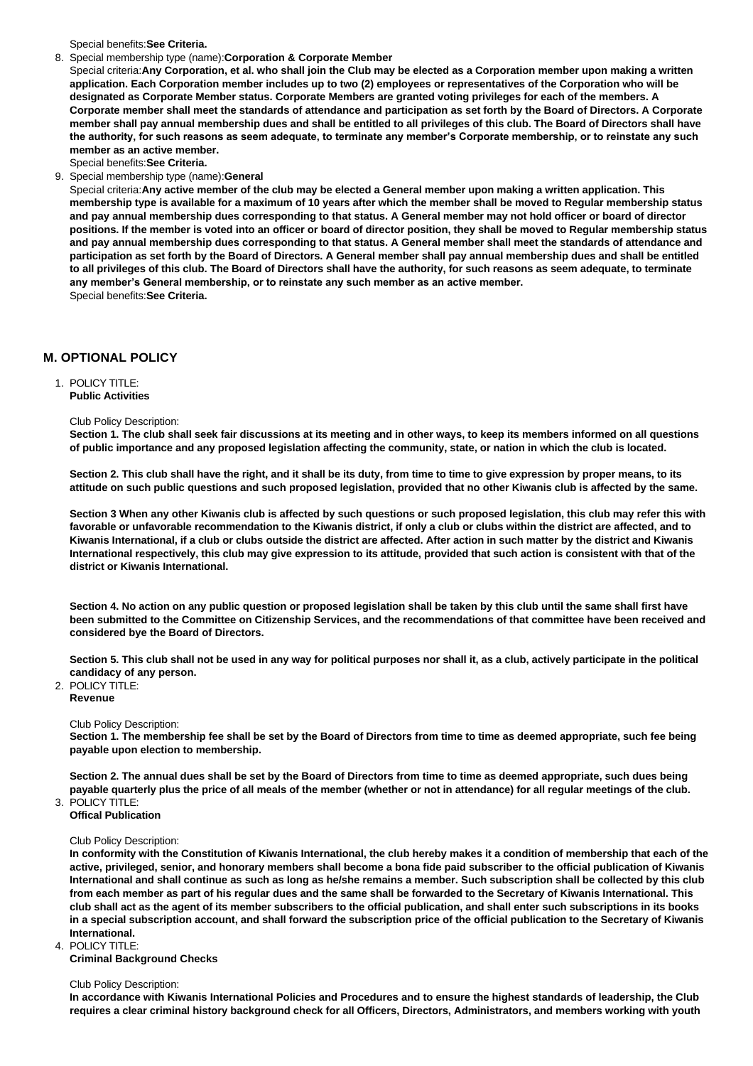Special benefits:**See Criteria.**

8. Special membership type (name):**Corporation & Corporate Member**

Special criteria:**Any Corporation, et al. who shall join the Club may be elected as a Corporation member upon making a written application. Each Corporation member includes up to two (2) employees or representatives of the Corporation who will be designated as Corporate Member status. Corporate Members are granted voting privileges for each of the members. A Corporate member shall meet the standards of attendance and participation as set forth by the Board of Directors. A Corporate member shall pay annual membership dues and shall be entitled to all privileges of this club. The Board of Directors shall have the authority, for such reasons as seem adequate, to terminate any member's Corporate membership, or to reinstate any such member as an active member.**

Special benefits:**See Criteria.**

#### 9. Special membership type (name):**General**

Special criteria:**Any active member of the club may be elected a General member upon making a written application. This membership type is available for a maximum of 10 years after which the member shall be moved to Regular membership status and pay annual membership dues corresponding to that status. A General member may not hold officer or board of director positions. If the member is voted into an officer or board of director position, they shall be moved to Regular membership status and pay annual membership dues corresponding to that status. A General member shall meet the standards of attendance and participation as set forth by the Board of Directors. A General member shall pay annual membership dues and shall be entitled to all privileges of this club. The Board of Directors shall have the authority, for such reasons as seem adequate, to terminate any member's General membership, or to reinstate any such member as an active member.** Special benefits:**See Criteria.**

#### **M. OPTIONAL POLICY**

# 1. POLICY TITLE:

**Public Activities**

#### Club Policy Description:

**Section 1. The club shall seek fair discussions at its meeting and in other ways, to keep its members informed on all questions of public importance and any proposed legislation affecting the community, state, or nation in which the club is located.**

**Section 2. This club shall have the right, and it shall be its duty, from time to time to give expression by proper means, to its attitude on such public questions and such proposed legislation, provided that no other Kiwanis club is affected by the same.**

**Section 3 When any other Kiwanis club is affected by such questions or such proposed legislation, this club may refer this with favorable or unfavorable recommendation to the Kiwanis district, if only a club or clubs within the district are affected, and to Kiwanis International, if a club or clubs outside the district are affected. After action in such matter by the district and Kiwanis International respectively, this club may give expression to its attitude, provided that such action is consistent with that of the district or Kiwanis International.**

**Section 4. No action on any public question or proposed legislation shall be taken by this club until the same shall first have been submitted to the Committee on Citizenship Services, and the recommendations of that committee have been received and considered bye the Board of Directors.**

**Section 5. This club shall not be used in any way for political purposes nor shall it, as a club, actively participate in the political candidacy of any person.**

2. POLICY TITLE: **Revenue**

#### Club Policy Description:

**Section 1. The membership fee shall be set by the Board of Directors from time to time as deemed appropriate, such fee being payable upon election to membership.**

**Section 2. The annual dues shall be set by the Board of Directors from time to time as deemed appropriate, such dues being payable quarterly plus the price of all meals of the member (whether or not in attendance) for all regular meetings of the club.** 3. POLICY TITLE:

**Offical Publication**

#### Club Policy Description:

**In conformity with the Constitution of Kiwanis International, the club hereby makes it a condition of membership that each of the active, privileged, senior, and honorary members shall become a bona fide paid subscriber to the official publication of Kiwanis International and shall continue as such as long as he/she remains a member. Such subscription shall be collected by this club from each member as part of his regular dues and the same shall be forwarded to the Secretary of Kiwanis International. This club shall act as the agent of its member subscribers to the official publication, and shall enter such subscriptions in its books in a special subscription account, and shall forward the subscription price of the official publication to the Secretary of Kiwanis International.**

4. POLICY TITLE:

**Criminal Background Checks**

#### Club Policy Description:

**In accordance with Kiwanis International Policies and Procedures and to ensure the highest standards of leadership, the Club requires a clear criminal history background check for all Officers, Directors, Administrators, and members working with youth**